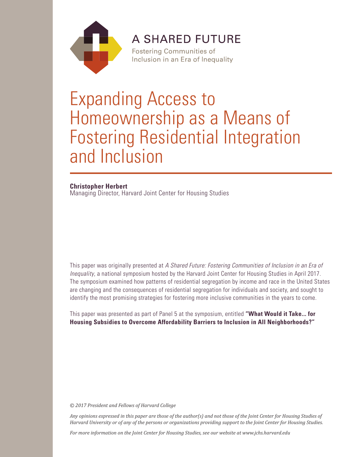

**A SHARED FUTURE** 

**Fostering Communities of** Inclusion in an Era of Inequality

# Expanding Access to Homeownership as a Means of Fostering Residential Integration and Inclusion

### **Christopher Herbert**

Managing Director, Harvard Joint Center for Housing Studies

This paper was originally presented at *A Shared Future: Fostering Communities of Inclusion in an Era of Inequality*, a national symposium hosted by the Harvard Joint Center for Housing Studies in April 2017. The symposium examined how patterns of residential segregation by income and race in the United States are changing and the consequences of residential segregation for individuals and society, and sought to identify the most promising strategies for fostering more inclusive communities in the years to come.

This paper was presented as part of Panel 5 at the symposium, entitled **"What Would it Take... for Housing Subsidies to Overcome Affordability Barriers to Inclusion in All Neighborhoods?"** 

*© 2017 President and Fellows of Harvard College*

*Any opinions expressed in this paper are those of the author(s) and not those of the Joint Center for Housing Studies of Harvard University or of any of the persons or organizations providing support to the Joint Center for Housing Studies.* 

*For more information on the Joint Center for Housing Studies, see our website at www.jchs.harvard.edu*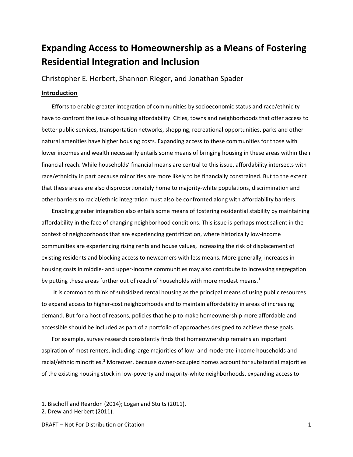# **Expanding Access to Homeownership as a Means of Fostering Residential Integration and Inclusion**

Christopher E. Herbert, Shannon Rieger, and Jonathan Spader

### **Introduction**

Efforts to enable greater integration of communities by socioeconomic status and race/ethnicity have to confront the issue of housing affordability. Cities, towns and neighborhoods that offer access to better public services, transportation networks, shopping, recreational opportunities, parks and other natural amenities have higher housing costs. Expanding access to these communities for those with lower incomes and wealth necessarily entails some means of bringing housing in these areas within their financial reach. While households' financial means are central to this issue, affordability intersects with race/ethnicity in part because minorities are more likely to be financially constrained. But to the extent that these areas are also disproportionately home to majority-white populations, discrimination and other barriers to racial/ethnic integration must also be confronted along with affordability barriers.

Enabling greater integration also entails some means of fostering residential stability by maintaining affordability in the face of changing neighborhood conditions. This issue is perhaps most salient in the context of neighborhoods that are experiencing gentrification, where historically low-income communities are experiencing rising rents and house values, increasing the risk of displacement of existing residents and blocking access to newcomers with less means. More generally, increases in housing costs in middle- and upper-income communities may also contribute to increasing segregation by putting these areas further out of reach of households with more modest means.<sup>[1](#page-1-0)</sup>

It is common to think of subsidized rental housing as the principal means of using public resources to expand access to higher-cost neighborhoods and to maintain affordability in areas of increasing demand. But for a host of reasons, policies that help to make homeownership more affordable and accessible should be included as part of a portfolio of approaches designed to achieve these goals.

For example, survey research consistently finds that homeownership remains an important aspiration of most renters, including large majorities of low- and moderate-income households and racial/ethnic minorities.<sup>[2](#page-1-1)</sup> Moreover, because owner-occupied homes account for substantial majorities of the existing housing stock in low-poverty and majority-white neighborhoods, expanding access to

<span id="page-1-0"></span><sup>1.</sup> Bischoff and Reardon (2014); Logan and Stults (2011).

<span id="page-1-1"></span><sup>2.</sup> Drew and Herbert (2011).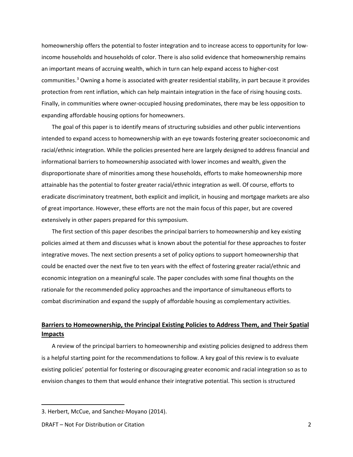homeownership offers the potential to foster integration and to increase access to opportunity for lowincome households and households of color. There is also solid evidence that homeownership remains an important means of accruing wealth, which in turn can help expand access to higher-cost communities.<sup>[3](#page-2-0)</sup> Owning a home is associated with greater residential stability, in part because it provides protection from rent inflation, which can help maintain integration in the face of rising housing costs. Finally, in communities where owner-occupied housing predominates, there may be less opposition to expanding affordable housing options for homeowners.

The goal of this paper is to identify means of structuring subsidies and other public interventions intended to expand access to homeownership with an eye towards fostering greater socioeconomic and racial/ethnic integration. While the policies presented here are largely designed to address financial and informational barriers to homeownership associated with lower incomes and wealth, given the disproportionate share of minorities among these households, efforts to make homeownership more attainable has the potential to foster greater racial/ethnic integration as well. Of course, efforts to eradicate discriminatory treatment, both explicit and implicit, in housing and mortgage markets are also of great importance. However, these efforts are not the main focus of this paper, but are covered extensively in other papers prepared for this symposium.

The first section of this paper describes the principal barriers to homeownership and key existing policies aimed at them and discusses what is known about the potential for these approaches to foster integrative moves. The next section presents a set of policy options to support homeownership that could be enacted over the next five to ten years with the effect of fostering greater racial/ethnic and economic integration on a meaningful scale. The paper concludes with some final thoughts on the rationale for the recommended policy approaches and the importance of simultaneous efforts to combat discrimination and expand the supply of affordable housing as complementary activities.

### **Barriers to Homeownership, the Principal Existing Policies to Address Them, and Their Spatial Impacts**

A review of the principal barriers to homeownership and existing policies designed to address them is a helpful starting point for the recommendations to follow. A key goal of this review is to evaluate existing policies' potential for fostering or discouraging greater economic and racial integration so as to envision changes to them that would enhance their integrative potential. This section is structured

<span id="page-2-0"></span><sup>3.</sup> Herbert, McCue, and Sanchez-Moyano (2014).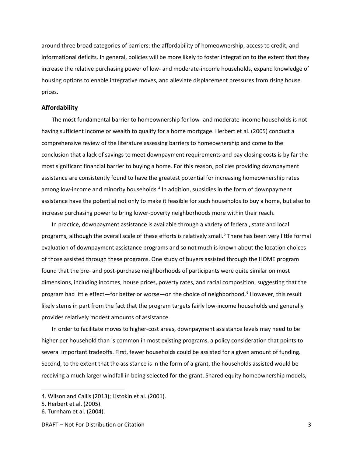around three broad categories of barriers: the affordability of homeownership, access to credit, and informational deficits. In general, policies will be more likely to foster integration to the extent that they increase the relative purchasing power of low- and moderate-income households, expand knowledge of housing options to enable integrative moves, and alleviate displacement pressures from rising house prices.

### **Affordability**

The most fundamental barrier to homeownership for low- and moderate-income households is not having sufficient income or wealth to qualify for a home mortgage. Herbert et al. (2005) conduct a comprehensive review of the literature assessing barriers to homeownership and come to the conclusion that a lack of savings to meet downpayment requirements and pay closing costs is by far the most significant financial barrier to buying a home. For this reason, policies providing downpayment assistance are consistently found to have the greatest potential for increasing homeownership rates among low-income and minority households.<sup>[4](#page-3-0)</sup> In addition, subsidies in the form of downpayment assistance have the potential not only to make it feasible for such households to buy a home, but also to increase purchasing power to bring lower-poverty neighborhoods more within their reach.

In practice, downpayment assistance is available through a variety of federal, state and local programs, although the overall scale of these efforts is relatively small.<sup>[5](#page-3-1)</sup> There has been very little formal evaluation of downpayment assistance programs and so not much is known about the location choices of those assisted through these programs. One study of buyers assisted through the HOME program found that the pre- and post-purchase neighborhoods of participants were quite similar on most dimensions, including incomes, house prices, poverty rates, and racial composition, suggesting that the program had little effect—for better or worse—on the choice of neighborhood.<sup>[6](#page-3-2)</sup> However, this result likely stems in part from the fact that the program targets fairly low-income households and generally provides relatively modest amounts of assistance.

In order to facilitate moves to higher-cost areas, downpayment assistance levels may need to be higher per household than is common in most existing programs, a policy consideration that points to several important tradeoffs. First, fewer households could be assisted for a given amount of funding. Second, to the extent that the assistance is in the form of a grant, the households assisted would be receiving a much larger windfall in being selected for the grant. Shared equity homeownership models,

<span id="page-3-0"></span><sup>4.</sup> Wilson and Callis (2013); Listokin et al. (2001).

<span id="page-3-1"></span><sup>5.</sup> Herbert et al. (2005).

<span id="page-3-2"></span><sup>6.</sup> Turnham et al. (2004).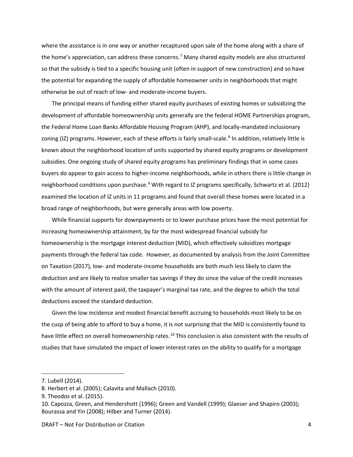where the assistance is in one way or another recaptured upon sale of the home along with a share of the home's appreciation, can address these concerns.<sup>[7](#page-4-0)</sup> Many shared equity models are also structured so that the subsidy is tied to a specific housing unit (often in support of new construction) and so have the potential for expanding the supply of affordable homeowner units in neighborhoods that might otherwise be out of reach of low- and moderate-income buyers.

The principal means of funding either shared equity purchases of existing homes or subsidizing the development of affordable homeownership units generally are the federal HOME Partnerships program, the Federal Home Loan Banks Affordable Housing Program (AHP), and locally-mandated inclusionary zoning (IZ) programs. However, each of these efforts is fairly small-scale.<sup>[8](#page-4-1)</sup> In addition, relatively little is known about the neighborhood location of units supported by shared equity programs or development subsidies. One ongoing study of shared equity programs has preliminary findings that in some cases buyers do appear to gain access to higher-income neighborhoods, while in others there is little change in neighborhood conditions upon purchase.<sup>[9](#page-4-2)</sup> With regard to IZ programs specifically, Schwartz et al. (2012) examined the location of IZ units in 11 programs and found that overall these homes were located in a broad range of neighborhoods, but were generally areas with low poverty.

While financial supports for downpayments or to lower purchase prices have the most potential for increasing homeownership attainment, by far the most widespread financial subsidy for homeownership is the mortgage interest deduction (MID), which effectively subsidizes mortgage payments through the federal tax code. However, as documented by analysis from the Joint Committee on Taxation (2017), low- and moderate-income households are both much less likely to claim the deduction and are likely to realize smaller tax savings if they do since the value of the credit increases with the amount of interest paid, the taxpayer's marginal tax rate, and the degree to which the total deductions exceed the standard deduction.

Given the low incidence and modest financial benefit accruing to households most likely to be on the cusp of being able to afford to buy a home, it is not surprising that the MID is consistently found to have little effect on overall homeownership rates.<sup>[10](#page-4-3)</sup> This conclusion is also consistent with the results of studies that have simulated the impact of lower interest rates on the ability to qualify for a mortgage

<span id="page-4-0"></span><sup>7.</sup> Lubell (2014).

<span id="page-4-1"></span><sup>8.</sup> Herbert et al. (2005); Calavita and Mallach (2010).

<span id="page-4-2"></span><sup>9.</sup> Theodos et al. (2015).

<span id="page-4-3"></span><sup>10.</sup> Capozza, Green, and Hendershott (1996); Green and Vandell (1999); Glaeser and Shapiro (2003); Bourassa and Yin (2008); Hilber and Turner (2014).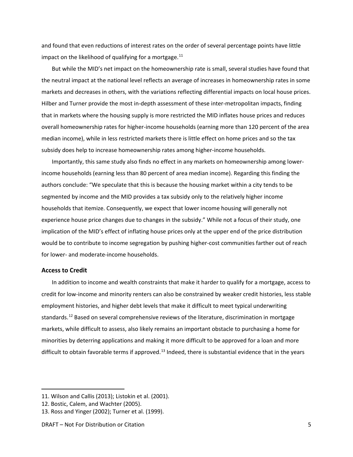and found that even reductions of interest rates on the order of several percentage points have little impact on the likelihood of qualifying for a mortgage. $^{11}$  $^{11}$  $^{11}$ 

But while the MID's net impact on the homeownership rate is small, several studies have found that the neutral impact at the national level reflects an average of increases in homeownership rates in some markets and decreases in others, with the variations reflecting differential impacts on local house prices. Hilber and Turner provide the most in-depth assessment of these inter-metropolitan impacts, finding that in markets where the housing supply is more restricted the MID inflates house prices and reduces overall homeownership rates for higher-income households (earning more than 120 percent of the area median income), while in less restricted markets there is little effect on home prices and so the tax subsidy does help to increase homeownership rates among higher-income households.

Importantly, this same study also finds no effect in any markets on homeownership among lowerincome households (earning less than 80 percent of area median income). Regarding this finding the authors conclude: "We speculate that this is because the housing market within a city tends to be segmented by income and the MID provides a tax subsidy only to the relatively higher income households that itemize. Consequently, we expect that lower income housing will generally not experience house price changes due to changes in the subsidy." While not a focus of their study, one implication of the MID's effect of inflating house prices only at the upper end of the price distribution would be to contribute to income segregation by pushing higher-cost communities farther out of reach for lower- and moderate-income households.

### **Access to Credit**

 $\overline{\phantom{a}}$ 

In addition to income and wealth constraints that make it harder to qualify for a mortgage, access to credit for low-income and minority renters can also be constrained by weaker credit histories, less stable employment histories, and higher debt levels that make it difficult to meet typical underwriting standards.<sup>[12](#page-5-1)</sup> Based on several comprehensive reviews of the literature, discrimination in mortgage markets, while difficult to assess, also likely remains an important obstacle to purchasing a home for minorities by deterring applications and making it more difficult to be approved for a loan and more difficult to obtain favorable terms if approved.<sup>[13](#page-5-2)</sup> Indeed, there is substantial evidence that in the years

<span id="page-5-0"></span><sup>11.</sup> Wilson and Callis (2013); Listokin et al. (2001).

<span id="page-5-1"></span><sup>12.</sup> Bostic, Calem, and Wachter (2005).

<span id="page-5-2"></span><sup>13.</sup> Ross and Yinger (2002); Turner et al. (1999).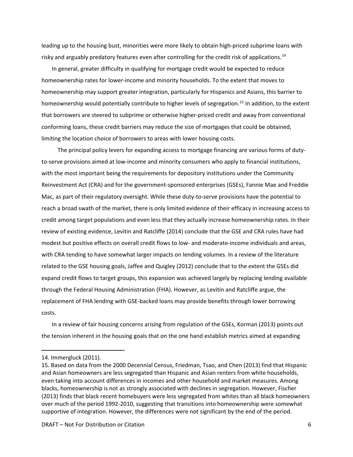leading up to the housing bust, minorities were more likely to obtain high-priced subprime loans with risky and arguably predatory features even after controlling for the credit risk of applications.<sup>[14](#page-6-0)</sup>

In general, greater difficulty in qualifying for mortgage credit would be expected to reduce homeownership rates for lower-income and minority households. To the extent that moves to homeownership may support greater integration, particularly for Hispanics and Asians, this barrier to homeownership would potentially contribute to higher levels of segregation.<sup>[15](#page-6-1)</sup> In addition, to the extent that borrowers are steered to subprime or otherwise higher-priced credit and away from conventional conforming loans, these credit barriers may reduce the size of mortgages that could be obtained, limiting the location choice of borrowers to areas with lower housing costs.

 The principal policy levers for expanding access to mortgage financing are various forms of dutyto-serve provisions aimed at low-income and minority consumers who apply to financial institutions, with the most important being the requirements for depository institutions under the Community Reinvestment Act (CRA) and for the government-sponsored enterprises (GSEs), Fannie Mae and Freddie Mac, as part of their regulatory oversight. While these duty-to-serve provisions have the potential to reach a broad swath of the market, there is only limited evidence of their efficacy in increasing access to credit among target populations and even less that they actually increase homeownership rates. In their review of existing evidence, Levitin and Ratcliffe (2014) conclude that the GSE and CRA rules have had modest but positive effects on overall credit flows to low- and moderate-income individuals and areas, with CRA tending to have somewhat larger impacts on lending volumes. In a review of the literature related to the GSE housing goals, Jaffee and Quigley (2012) conclude that to the extent the GSEs did expand credit flows to target groups, this expansion was achieved largely by replacing lending available through the Federal Housing Administration (FHA). However, as Levitin and Ratcliffe argue, the replacement of FHA lending with GSE-backed loans may provide benefits through lower borrowing costs.

In a review of fair housing concerns arising from regulation of the GSEs, Korman (2013) points out the tension inherent in the housing goals that on the one hand establish metrics aimed at expanding

<span id="page-6-0"></span><sup>14.</sup> Immergluck (2011).

<span id="page-6-1"></span><sup>15.</sup> Based on data from the 2000 Decennial Census, Friedman, Tsao, and Chen (2013) find that Hispanic and Asian homeowners are less segregated than Hispanic and Asian renters from white households, even taking into account differences in incomes and other household and market measures. Among blacks, homeownership is not as strongly associated with declines in segregation. However, Fischer (2013) finds that black recent homebuyers were less segregated from whites than all black homeowners over much of the period 1992-2010, suggesting that transitions into homeownership were somewhat supportive of integration. However, the differences were not significant by the end of the period.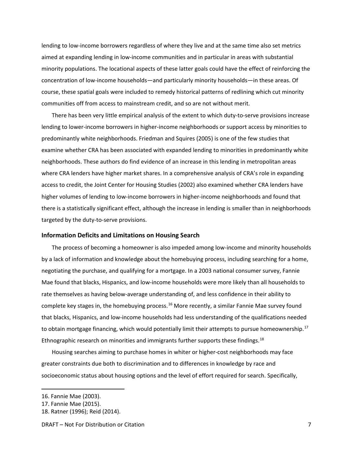lending to low-income borrowers regardless of where they live and at the same time also set metrics aimed at expanding lending in low-income communities and in particular in areas with substantial minority populations. The locational aspects of these latter goals could have the effect of reinforcing the concentration of low-income households—and particularly minority households—in these areas. Of course, these spatial goals were included to remedy historical patterns of redlining which cut minority communities off from access to mainstream credit, and so are not without merit.

There has been very little empirical analysis of the extent to which duty-to-serve provisions increase lending to lower-income borrowers in higher-income neighborhoods or support access by minorities to predominantly white neighborhoods. Friedman and Squires (2005) is one of the few studies that examine whether CRA has been associated with expanded lending to minorities in predominantly white neighborhoods. These authors do find evidence of an increase in this lending in metropolitan areas where CRA lenders have higher market shares. In a comprehensive analysis of CRA's role in expanding access to credit, the Joint Center for Housing Studies (2002) also examined whether CRA lenders have higher volumes of lending to low-income borrowers in higher-income neighborhoods and found that there is a statistically significant effect, although the increase in lending is smaller than in neighborhoods targeted by the duty-to-serve provisions.

### **Information Deficits and Limitations on Housing Search**

The process of becoming a homeowner is also impeded among low-income and minority households by a lack of information and knowledge about the homebuying process, including searching for a home, negotiating the purchase, and qualifying for a mortgage. In a 2003 national consumer survey, Fannie Mae found that blacks, Hispanics, and low-income households were more likely than all households to rate themselves as having below-average understanding of, and less confidence in their ability to complete key stages in, the homebuying process.<sup>[16](#page-7-0)</sup> More recently, a similar Fannie Mae survey found that blacks, Hispanics, and low-income households had less understanding of the qualifications needed to obtain mortgage financing, which would potentially limit their attempts to pursue homeownership.<sup>[17](#page-7-1)</sup> Ethnographic research on minorities and immigrants further supports these findings.<sup>18</sup>

Housing searches aiming to purchase homes in whiter or higher-cost neighborhoods may face greater constraints due both to discrimination and to differences in knowledge by race and socioeconomic status about housing options and the level of effort required for search. Specifically,

<span id="page-7-0"></span><sup>16.</sup> Fannie Mae (2003).

<span id="page-7-1"></span><sup>17.</sup> Fannie Mae (2015).

<span id="page-7-2"></span><sup>18.</sup> Ratner (1996); Reid (2014).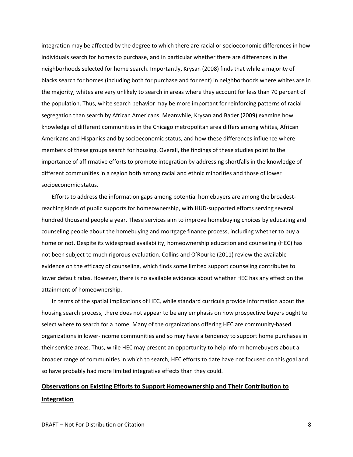integration may be affected by the degree to which there are racial or socioeconomic differences in how individuals search for homes to purchase, and in particular whether there are differences in the neighborhoods selected for home search. Importantly, Krysan (2008) finds that while a majority of blacks search for homes (including both for purchase and for rent) in neighborhoods where whites are in the majority, whites are very unlikely to search in areas where they account for less than 70 percent of the population. Thus, white search behavior may be more important for reinforcing patterns of racial segregation than search by African Americans. Meanwhile, Krysan and Bader (2009) examine how knowledge of different communities in the Chicago metropolitan area differs among whites, African Americans and Hispanics and by socioeconomic status, and how these differences influence where members of these groups search for housing. Overall, the findings of these studies point to the importance of affirmative efforts to promote integration by addressing shortfalls in the knowledge of different communities in a region both among racial and ethnic minorities and those of lower socioeconomic status.

Efforts to address the information gaps among potential homebuyers are among the broadestreaching kinds of public supports for homeownership, with HUD-supported efforts serving several hundred thousand people a year. These services aim to improve homebuying choices by educating and counseling people about the homebuying and mortgage finance process, including whether to buy a home or not. Despite its widespread availability, homeownership education and counseling (HEC) has not been subject to much rigorous evaluation. Collins and O'Rourke (2011) review the available evidence on the efficacy of counseling, which finds some limited support counseling contributes to lower default rates. However, there is no available evidence about whether HEC has any effect on the attainment of homeownership.

In terms of the spatial implications of HEC, while standard curricula provide information about the housing search process, there does not appear to be any emphasis on how prospective buyers ought to select where to search for a home. Many of the organizations offering HEC are community-based organizations in lower-income communities and so may have a tendency to support home purchases in their service areas. Thus, while HEC may present an opportunity to help inform homebuyers about a broader range of communities in which to search, HEC efforts to date have not focused on this goal and so have probably had more limited integrative effects than they could.

## **Observations on Existing Efforts to Support Homeownership and Their Contribution to Integration**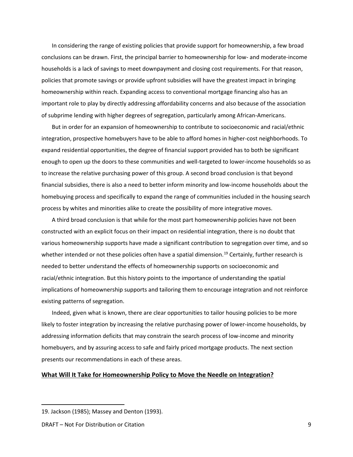In considering the range of existing policies that provide support for homeownership, a few broad conclusions can be drawn. First, the principal barrier to homeownership for low- and moderate-income households is a lack of savings to meet downpayment and closing cost requirements. For that reason, policies that promote savings or provide upfront subsidies will have the greatest impact in bringing homeownership within reach. Expanding access to conventional mortgage financing also has an important role to play by directly addressing affordability concerns and also because of the association of subprime lending with higher degrees of segregation, particularly among African-Americans.

But in order for an expansion of homeownership to contribute to socioeconomic and racial/ethnic integration, prospective homebuyers have to be able to afford homes in higher-cost neighborhoods. To expand residential opportunities, the degree of financial support provided has to both be significant enough to open up the doors to these communities and well-targeted to lower-income households so as to increase the relative purchasing power of this group. A second broad conclusion is that beyond financial subsidies, there is also a need to better inform minority and low-income households about the homebuying process and specifically to expand the range of communities included in the housing search process by whites and minorities alike to create the possibility of more integrative moves.

A third broad conclusion is that while for the most part homeownership policies have not been constructed with an explicit focus on their impact on residential integration, there is no doubt that various homeownership supports have made a significant contribution to segregation over time, and so whether intended or not these policies often have a spatial dimension.<sup>[19](#page-9-0)</sup> Certainly, further research is needed to better understand the effects of homeownership supports on socioeconomic and racial/ethnic integration. But this history points to the importance of understanding the spatial implications of homeownership supports and tailoring them to encourage integration and not reinforce existing patterns of segregation.

Indeed, given what is known, there are clear opportunities to tailor housing policies to be more likely to foster integration by increasing the relative purchasing power of lower-income households, by addressing information deficits that may constrain the search process of low-income and minority homebuyers, and by assuring access to safe and fairly priced mortgage products. The next section presents our recommendations in each of these areas.

#### **What Will It Take for Homeownership Policy to Move the Needle on Integration?**

<span id="page-9-0"></span><sup>19.</sup> Jackson (1985); Massey and Denton (1993).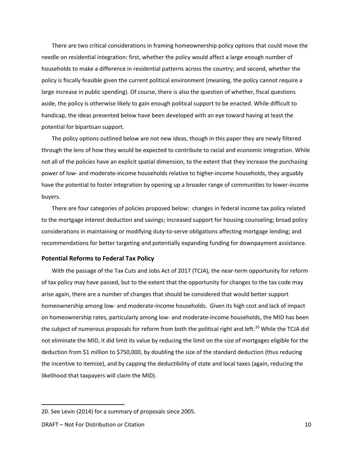There are two critical considerations in framing homeownership policy options that could move the needle on residential integration: first, whether the policy would affect a large enough number of households to make a difference in residential patterns across the country; and second, whether the policy is fiscally feasible given the current political environment (meaning, the policy cannot require a large increase in public spending). Of course, there is also the question of whether, fiscal questions aside, the policy is otherwise likely to gain enough political support to be enacted. While difficult to handicap, the ideas presented below have been developed with an eye toward having at least the potential for bipartisan support.

The policy options outlined below are not new ideas, though in this paper they are newly filtered through the lens of how they would be expected to contribute to racial and economic integration. While not all of the policies have an explicit spatial dimension, to the extent that they increase the purchasing power of low- and moderate-income households relative to higher-income households, they arguably have the potential to foster integration by opening up a broader range of communities to lower-income buyers.

There are four categories of policies proposed below: changes in federal income tax policy related to the mortgage interest deduction and savings; increased support for housing counseling; broad policy considerations in maintaining or modifying duty-to-serve obligations affecting mortgage lending; and recommendations for better targeting and potentially expanding funding for downpayment assistance.

#### **Potential Reforms to Federal Tax Policy**

With the passage of the Tax Cuts and Jobs Act of 2017 (TCJA), the near-term opportunity for reform of tax policy may have passed, but to the extent that the opportunity for changes to the tax code may arise again, there are a number of changes that should be considered that would better support homeownership among low- and moderate-income households. Given its high cost and lack of impact on homeownership rates, particularly among low- and moderate-income households, the MID has been the subject of numerous proposals for reform from both the political right and left.<sup>[20](#page-10-0)</sup> While the TCJA did not eliminate the MID, it did limit its value by reducing the limit on the size of mortgages eligible for the deduction from \$1 million to \$750,000, by doubling the size of the standard deduction (thus reducing the incentive to itemize), and by capping the deductibility of state and local taxes (again, reducing the likelihood that taxpayers will claim the MID).

<span id="page-10-0"></span><sup>20.</sup> See Levin (2014) for a summary of proposals since 2005.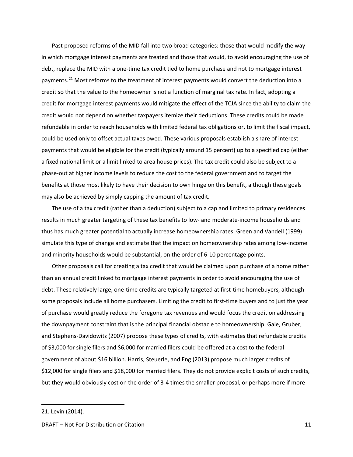Past proposed reforms of the MID fall into two broad categories: those that would modify the way in which mortgage interest payments are treated and those that would, to avoid encouraging the use of debt, replace the MID with a one-time tax credit tied to home purchase and not to mortgage interest payments.<sup>[21](#page-11-0)</sup> Most reforms to the treatment of interest payments would convert the deduction into a credit so that the value to the homeowner is not a function of marginal tax rate. In fact, adopting a credit for mortgage interest payments would mitigate the effect of the TCJA since the ability to claim the credit would not depend on whether taxpayers itemize their deductions. These credits could be made refundable in order to reach households with limited federal tax obligations or, to limit the fiscal impact, could be used only to offset actual taxes owed. These various proposals establish a share of interest payments that would be eligible for the credit (typically around 15 percent) up to a specified cap (either a fixed national limit or a limit linked to area house prices). The tax credit could also be subject to a phase-out at higher income levels to reduce the cost to the federal government and to target the benefits at those most likely to have their decision to own hinge on this benefit, although these goals may also be achieved by simply capping the amount of tax credit.

The use of a tax credit (rather than a deduction) subject to a cap and limited to primary residences results in much greater targeting of these tax benefits to low- and moderate-income households and thus has much greater potential to actually increase homeownership rates. Green and Vandell (1999) simulate this type of change and estimate that the impact on homeownership rates among low-income and minority households would be substantial, on the order of 6-10 percentage points.

Other proposals call for creating a tax credit that would be claimed upon purchase of a home rather than an annual credit linked to mortgage interest payments in order to avoid encouraging the use of debt. These relatively large, one-time credits are typically targeted at first-time homebuyers, although some proposals include all home purchasers. Limiting the credit to first-time buyers and to just the year of purchase would greatly reduce the foregone tax revenues and would focus the credit on addressing the downpayment constraint that is the principal financial obstacle to homeownership. Gale, Gruber, and Stephens-Davidowitz (2007) propose these types of credits, with estimates that refundable credits of \$3,000 for single filers and \$6,000 for married filers could be offered at a cost to the federal government of about \$16 billion. Harris, Steuerle, and Eng (2013) propose much larger credits of \$12,000 for single filers and \$18,000 for married filers. They do not provide explicit costs of such credits, but they would obviously cost on the order of 3-4 times the smaller proposal, or perhaps more if more

<span id="page-11-0"></span><sup>21.</sup> Levin (2014).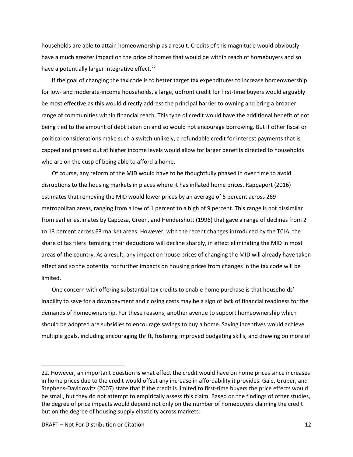households are able to attain homeownership as a result. Credits of this magnitude would obviously have a much greater impact on the price of homes that would be within reach of homebuyers and so have a potentially larger integrative effect. $^{22}$  $^{22}$  $^{22}$ 

If the goal of changing the tax code is to better target tax expenditures to increase homeownership for low- and moderate-income households, a large, upfront credit for first-time buyers would arguably be most effective as this would directly address the principal barrier to owning and bring a broader range of communities within financial reach. This type of credit would have the additional benefit of not being tied to the amount of debt taken on and so would not encourage borrowing. But if other fiscal or political considerations make such a switch unlikely, a refundable credit for interest payments that is capped and phased out at higher income levels would allow for larger benefits directed to households who are on the cusp of being able to afford a home.

Of course, any reform of the MID would have to be thoughtfully phased in over time to avoid disruptions to the housing markets in places where it has inflated home prices. Rappaport (2016) estimates that removing the MID would lower prices by an average of 5 percent across 269 metropolitan areas, ranging from a low of 1 percent to a high of 9 percent. This range is not dissimilar from earlier estimates by Capozza, Green, and Hendershott (1996) that gave a range of declines from 2 to 13 percent across 63 market areas. However, with the recent changes introduced by the TCJA, the share of tax filers itemizing their deductions will decline sharply, in effect eliminating the MID in most areas of the country. As a result, any impact on house prices of changing the MID will already have taken effect and so the potential for further impacts on housing prices from changes in the tax code will be limited.

One concern with offering substantial tax credits to enable home purchase is that households' inability to save for a downpayment and closing costs may be a sign of lack of financial readiness for the demands of homeownership. For these reasons, another avenue to support homeownership which should be adopted are subsidies to encourage savings to buy a home. Saving incentives would achieve multiple goals, including encouraging thrift, fostering improved budgeting skills, and drawing on more of

<span id="page-12-0"></span><sup>22.</sup> However, an important question is what effect the credit would have on home prices since increases in home prices due to the credit would offset any increase in affordability it provides. Gale, Gruber, and Stephens-Davidowitz (2007) state that if the credit is limited to first-time buyers the price effects would be small, but they do not attempt to empirically assess this claim. Based on the findings of other studies, the degree of price impacts would depend not only on the number of homebuyers claiming the credit but on the degree of housing supply elasticity across markets.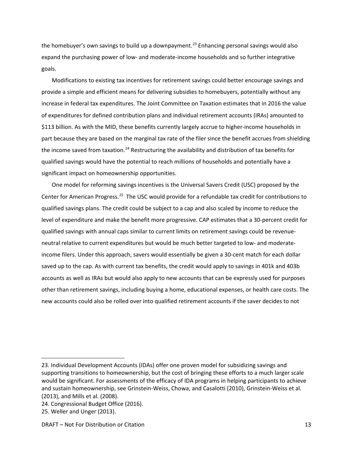the homebuyer's own savings to build up a downpayment.<sup>[23](#page-13-0)</sup> Enhancing personal savings would also expand the purchasing power of low- and moderate-income households and so further integrative goals.

Modifications to existing tax incentives for retirement savings could better encourage savings and provide a simple and efficient means for delivering subsidies to homebuyers, potentially without any increase in federal tax expenditures. The Joint Committee on Taxation estimates that in 2016 the value of expenditures for defined contribution plans and individual retirement accounts (IRAs) amounted to \$113 billion. As with the MID, these benefits currently largely accrue to higher-income households in part because they are based on the marginal tax rate of the filer since the benefit accrues from shielding the income saved from taxation.<sup>[24](#page-13-1)</sup> Restructuring the availability and distribution of tax benefits for qualified savings would have the potential to reach millions of households and potentially have a significant impact on homeownership opportunities.

One model for reforming savings incentives is the Universal Savers Credit (USC) proposed by the Center for American Progress.<sup>[25](#page-13-2)</sup> The USC would provide for a refundable tax credit for contributions to qualified savings plans. The credit could be subject to a cap and also scaled by income to reduce the level of expenditure and make the benefit more progressive. CAP estimates that a 30-percent credit for qualified savings with annual caps similar to current limits on retirement savings could be revenueneutral relative to current expenditures but would be much better targeted to low- and moderateincome filers. Under this approach, savers would essentially be given a 30-cent match for each dollar saved up to the cap. As with current tax benefits, the credit would apply to savings in 401k and 403b accounts as well as IRAs but would also apply to new accounts that can be expressly used for purposes other than retirement savings, including buying a home, educational expenses, or health care costs. The new accounts could also be rolled over into qualified retirement accounts if the saver decides to not

<span id="page-13-0"></span><sup>23.</sup> Individual Development Accounts (IDAs) offer one proven model for subsidizing savings and supporting transitions to homeownership, but the cost of bringing these efforts to a much larger scale would be significant. For assessments of the efficacy of IDA programs in helping participants to achieve and sustain homeownership, see Grinstein-Weiss, Chowa, and Casalotti (2010), Grinstein-Weiss et al. (2013), and Mills et al. (2008).

<span id="page-13-1"></span><sup>24.</sup> Congressional Budget Office (2016).

<span id="page-13-2"></span><sup>25.</sup> Weller and Unger (2013).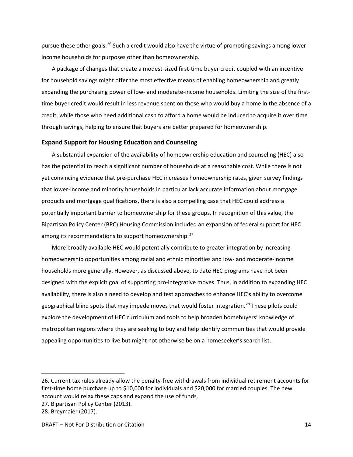pursue these other goals.<sup>[26](#page-14-0)</sup> Such a credit would also have the virtue of promoting savings among lowerincome households for purposes other than homeownership.

A package of changes that create a modest-sized first-time buyer credit coupled with an incentive for household savings might offer the most effective means of enabling homeownership and greatly expanding the purchasing power of low- and moderate-income households. Limiting the size of the firsttime buyer credit would result in less revenue spent on those who would buy a home in the absence of a credit, while those who need additional cash to afford a home would be induced to acquire it over time through savings, helping to ensure that buyers are better prepared for homeownership.

### **Expand Support for Housing Education and Counseling**

A substantial expansion of the availability of homeownership education and counseling (HEC) also has the potential to reach a significant number of households at a reasonable cost. While there is not yet convincing evidence that pre-purchase HEC increases homeownership rates, given survey findings that lower-income and minority households in particular lack accurate information about mortgage products and mortgage qualifications, there is also a compelling case that HEC could address a potentially important barrier to homeownership for these groups. In recognition of this value, the Bipartisan Policy Center (BPC) Housing Commission included an expansion of federal support for HEC among its recommendations to support homeownership.<sup>[27](#page-14-1)</sup>

More broadly available HEC would potentially contribute to greater integration by increasing homeownership opportunities among racial and ethnic minorities and low- and moderate-income households more generally. However, as discussed above, to date HEC programs have not been designed with the explicit goal of supporting pro-integrative moves. Thus, in addition to expanding HEC availability, there is also a need to develop and test approaches to enhance HEC's ability to overcome geographical blind spots that may impede moves that would foster integration.<sup>[28](#page-14-2)</sup> These pilots could explore the development of HEC curriculum and tools to help broaden homebuyers' knowledge of metropolitan regions where they are seeking to buy and help identify communities that would provide appealing opportunities to live but might not otherwise be on a homeseeker's search list.

<span id="page-14-0"></span><sup>26.</sup> Current tax rules already allow the penalty-free withdrawals from individual retirement accounts for first-time home purchase up to \$10,000 for individuals and \$20,000 for married couples. The new account would relax these caps and expand the use of funds.

<span id="page-14-1"></span><sup>27.</sup> Bipartisan Policy Center (2013).

<span id="page-14-2"></span><sup>28.</sup> Breymaier (2017).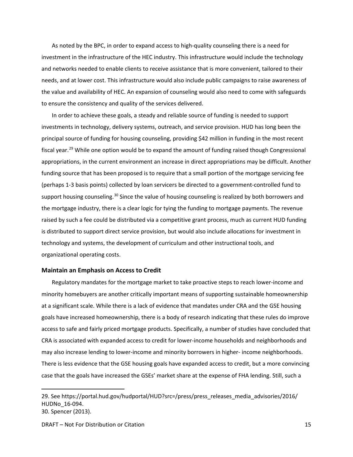As noted by the BPC, in order to expand access to high-quality counseling there is a need for investment in the infrastructure of the HEC industry. This infrastructure would include the technology and networks needed to enable clients to receive assistance that is more convenient, tailored to their needs, and at lower cost. This infrastructure would also include public campaigns to raise awareness of the value and availability of HEC. An expansion of counseling would also need to come with safeguards to ensure the consistency and quality of the services delivered.

In order to achieve these goals, a steady and reliable source of funding is needed to support investments in technology, delivery systems, outreach, and service provision. HUD has long been the principal source of funding for housing counseling, providing \$42 million in funding in the most recent fiscal year.<sup>[29](#page-15-0)</sup> While one option would be to expand the amount of funding raised though Congressional appropriations, in the current environment an increase in direct appropriations may be difficult. Another funding source that has been proposed is to require that a small portion of the mortgage servicing fee (perhaps 1-3 basis points) collected by loan servicers be directed to a government-controlled fund to support housing counseling.<sup>[30](#page-15-1)</sup> Since the value of housing counseling is realized by both borrowers and the mortgage industry, there is a clear logic for tying the funding to mortgage payments. The revenue raised by such a fee could be distributed via a competitive grant process, much as current HUD funding is distributed to support direct service provision, but would also include allocations for investment in technology and systems, the development of curriculum and other instructional tools, and organizational operating costs.

### **Maintain an Emphasis on Access to Credit**

Regulatory mandates for the mortgage market to take proactive steps to reach lower-income and minority homebuyers are another critically important means of supporting sustainable homeownership at a significant scale. While there is a lack of evidence that mandates under CRA and the GSE housing goals have increased homeownership, there is a body of research indicating that these rules do improve access to safe and fairly priced mortgage products. Specifically, a number of studies have concluded that CRA is associated with expanded access to credit for lower-income households and neighborhoods and may also increase lending to lower-income and minority borrowers in higher- income neighborhoods. There is less evidence that the GSE housing goals have expanded access to credit, but a more convincing case that the goals have increased the GSEs' market share at the expense of FHA lending. Still, such a

<span id="page-15-1"></span><span id="page-15-0"></span><sup>29.</sup> See https://portal.hud.gov/hudportal/HUD?src=/press/press\_releases\_media\_advisories/2016/ HUDNo\_16-094. 30. Spencer (2013).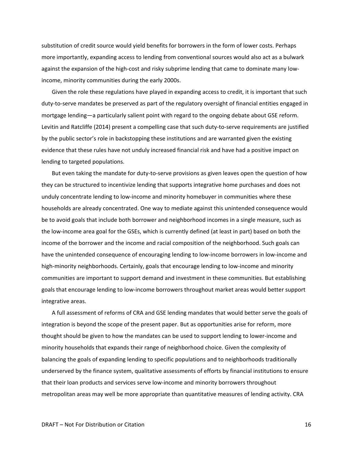substitution of credit source would yield benefits for borrowers in the form of lower costs. Perhaps more importantly, expanding access to lending from conventional sources would also act as a bulwark against the expansion of the high-cost and risky subprime lending that came to dominate many lowincome, minority communities during the early 2000s.

Given the role these regulations have played in expanding access to credit, it is important that such duty-to-serve mandates be preserved as part of the regulatory oversight of financial entities engaged in mortgage lending—a particularly salient point with regard to the ongoing debate about GSE reform. Levitin and Ratcliffe (2014) present a compelling case that such duty-to-serve requirements are justified by the public sector's role in backstopping these institutions and are warranted given the existing evidence that these rules have not unduly increased financial risk and have had a positive impact on lending to targeted populations.

But even taking the mandate for duty-to-serve provisions as given leaves open the question of how they can be structured to incentivize lending that supports integrative home purchases and does not unduly concentrate lending to low-income and minority homebuyer in communities where these households are already concentrated. One way to mediate against this unintended consequence would be to avoid goals that include both borrower and neighborhood incomes in a single measure, such as the low-income area goal for the GSEs, which is currently defined (at least in part) based on both the income of the borrower and the income and racial composition of the neighborhood. Such goals can have the unintended consequence of encouraging lending to low-income borrowers in low-income and high-minority neighborhoods. Certainly, goals that encourage lending to low-income and minority communities are important to support demand and investment in these communities. But establishing goals that encourage lending to low-income borrowers throughout market areas would better support integrative areas.

A full assessment of reforms of CRA and GSE lending mandates that would better serve the goals of integration is beyond the scope of the present paper. But as opportunities arise for reform, more thought should be given to how the mandates can be used to support lending to lower-income and minority households that expands their range of neighborhood choice. Given the complexity of balancing the goals of expanding lending to specific populations and to neighborhoods traditionally underserved by the finance system, qualitative assessments of efforts by financial institutions to ensure that their loan products and services serve low-income and minority borrowers throughout metropolitan areas may well be more appropriate than quantitative measures of lending activity. CRA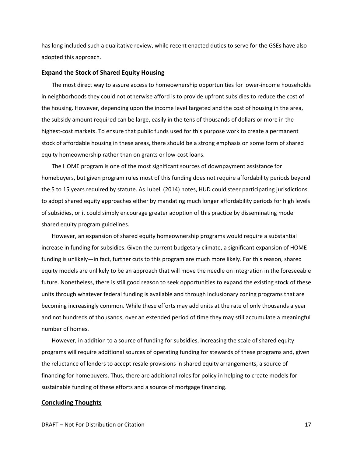has long included such a qualitative review, while recent enacted duties to serve for the GSEs have also adopted this approach.

### **Expand the Stock of Shared Equity Housing**

The most direct way to assure access to homeownership opportunities for lower-income households in neighborhoods they could not otherwise afford is to provide upfront subsidies to reduce the cost of the housing. However, depending upon the income level targeted and the cost of housing in the area, the subsidy amount required can be large, easily in the tens of thousands of dollars or more in the highest-cost markets. To ensure that public funds used for this purpose work to create a permanent stock of affordable housing in these areas, there should be a strong emphasis on some form of shared equity homeownership rather than on grants or low-cost loans.

The HOME program is one of the most significant sources of downpayment assistance for homebuyers, but given program rules most of this funding does not require affordability periods beyond the 5 to 15 years required by statute. As Lubell (2014) notes, HUD could steer participating jurisdictions to adopt shared equity approaches either by mandating much longer affordability periods for high levels of subsidies, or it could simply encourage greater adoption of this practice by disseminating model shared equity program guidelines.

However, an expansion of shared equity homeownership programs would require a substantial increase in funding for subsidies. Given the current budgetary climate, a significant expansion of HOME funding is unlikely—in fact, further cuts to this program are much more likely. For this reason, shared equity models are unlikely to be an approach that will move the needle on integration in the foreseeable future. Nonetheless, there is still good reason to seek opportunities to expand the existing stock of these units through whatever federal funding is available and through inclusionary zoning programs that are becoming increasingly common. While these efforts may add units at the rate of only thousands a year and not hundreds of thousands, over an extended period of time they may still accumulate a meaningful number of homes.

However, in addition to a source of funding for subsidies, increasing the scale of shared equity programs will require additional sources of operating funding for stewards of these programs and, given the reluctance of lenders to accept resale provisions in shared equity arrangements, a source of financing for homebuyers. Thus, there are additional roles for policy in helping to create models for sustainable funding of these efforts and a source of mortgage financing.

### **Concluding Thoughts**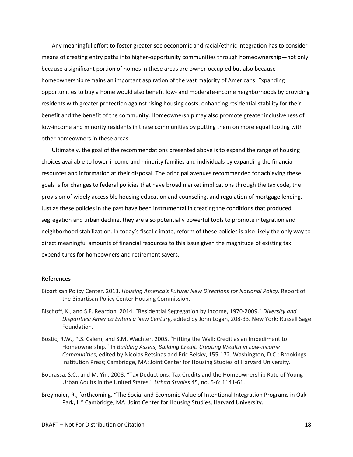Any meaningful effort to foster greater socioeconomic and racial/ethnic integration has to consider means of creating entry paths into higher-opportunity communities through homeownership—not only because a significant portion of homes in these areas are owner-occupied but also because homeownership remains an important aspiration of the vast majority of Americans. Expanding opportunities to buy a home would also benefit low- and moderate-income neighborhoods by providing residents with greater protection against rising housing costs, enhancing residential stability for their benefit and the benefit of the community. Homeownership may also promote greater inclusiveness of low-income and minority residents in these communities by putting them on more equal footing with other homeowners in these areas.

Ultimately, the goal of the recommendations presented above is to expand the range of housing choices available to lower-income and minority families and individuals by expanding the financial resources and information at their disposal. The principal avenues recommended for achieving these goals is for changes to federal policies that have broad market implications through the tax code, the provision of widely accessible housing education and counseling, and regulation of mortgage lending. Just as these policies in the past have been instrumental in creating the conditions that produced segregation and urban decline, they are also potentially powerful tools to promote integration and neighborhood stabilization. In today's fiscal climate, reform of these policies is also likely the only way to direct meaningful amounts of financial resources to this issue given the magnitude of existing tax expenditures for homeowners and retirement savers.

### **References**

- Bipartisan Policy Center. 2013. *Housing America's Future: New Directions for National Policy*. Report of the Bipartisan Policy Center Housing Commission.
- Bischoff, K., and S.F. Reardon. 2014. "Residential Segregation by Income, 1970-2009." *Diversity and Disparities: America Enters a New Century*, edited by John Logan, 208-33. New York: Russell Sage Foundation.
- Bostic, R.W., P.S. Calem, and S.M. Wachter. 2005. "Hitting the Wall: Credit as an Impediment to Homeownership." In *Building Assets, Building Credit: Creating Wealth in Low-income Communities*, edited by Nicolas Retsinas and Eric Belsky, 155-172. Washington, D.C.: Brookings Institution Press; Cambridge, MA: Joint Center for Housing Studies of Harvard University.
- Bourassa, S.C., and M. Yin. 2008. "Tax Deductions, Tax Credits and the Homeownership Rate of Young Urban Adults in the United States." *Urban Studies* 45, no. 5-6: 1141-61.
- Breymaier, R., forthcoming. "The Social and Economic Value of Intentional Integration Programs in Oak Park, IL" Cambridge, MA: Joint Center for Housing Studies, Harvard University.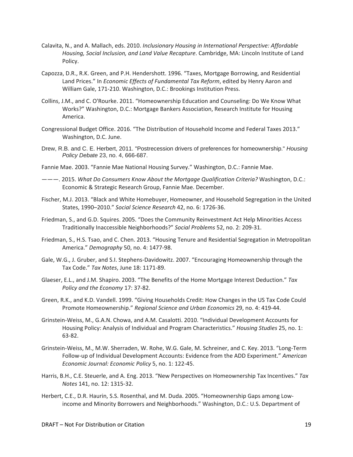- Calavita, N., and A. Mallach, eds. 2010. *Inclusionary Housing in International Perspective: Affordable Housing, Social Inclusion, and Land Value Recapture*. Cambridge, MA: Lincoln Institute of Land Policy.
- Capozza, D.R., R.K. Green, and P.H. Hendershott. 1996. "Taxes, Mortgage Borrowing, and Residential Land Prices." In *Economic Effects of Fundamental Tax Reform*, edited by Henry Aaron and William Gale, 171-210. Washington, D.C.: Brookings Institution Press.
- Collins, J.M., and C. O'Rourke. 2011. "Homeownership Education and Counseling: Do We Know What Works?" Washington, D.C.: Mortgage Bankers Association, Research Institute for Housing America.
- Congressional Budget Office. 2016. "The Distribution of Household Income and Federal Taxes 2013." Washington, D.C. June.
- Drew, R.B. and C. E. Herbert, 2011. "Postrecession drivers of preferences for homeownership." *Housing Policy Debate* 23, no. 4, 666-687.
- Fannie Mae. 2003. "Fannie Mae National Housing Survey." Washington, D.C.: Fannie Mae.
- ———. 2015. *What Do Consumers Know About the Mortgage Qualification Criteria?* Washington, D.C.: Economic & Strategic Research Group, Fannie Mae. December.
- Fischer, M.J. 2013. "Black and White Homebuyer, Homeowner, and Household Segregation in the United States, 1990–2010." *Social Science Research* 42, no. 6: 1726-36.
- Friedman, S., and G.D. Squires. 2005. "Does the Community Reinvestment Act Help Minorities Access Traditionally Inaccessible Neighborhoods?" *Social Problems* 52, no. 2: 209-31.
- Friedman, S., H.S. Tsao, and C. Chen. 2013. "Housing Tenure and Residential Segregation in Metropolitan America." *Demography* 50, no. 4: 1477-98.
- Gale, W.G., J. Gruber, and S.I. Stephens-Davidowitz. 2007. "Encouraging Homeownership through the Tax Code." *Tax Notes*, June 18: 1171-89.
- Glaeser, E.L., and J.M. Shapiro. 2003. "The Benefits of the Home Mortgage Interest Deduction." *Tax Policy and the Economy* 17: 37-82.
- Green, R.K., and K.D. Vandell. 1999. "Giving Households Credit: How Changes in the US Tax Code Could Promote Homeownership." *Regional Science and Urban Economics* 29, no. 4: 419-44.
- Grinstein-Weiss, M., G.A.N. Chowa, and A.M. Casalotti. 2010. "Individual Development Accounts for Housing Policy: Analysis of Individual and Program Characteristics." *Housing Studies* 25, no. 1: 63-82.
- Grinstein-Weiss, M., M.W. Sherraden, W. Rohe, W.G. Gale, M. Schreiner, and C. Key. 2013. "Long-Term Follow-up of Individual Development Accounts: Evidence from the ADD Experiment." *American Economic Journal: Economic Policy* 5, no. 1: 122-45.
- Harris, B.H., C.E. Steuerle, and A. Eng. 2013. "New Perspectives on Homeownership Tax Incentives." *Tax Notes* 141, no. 12: 1315-32.
- Herbert, C.E., D.R. Haurin, S.S. Rosenthal, and M. Duda. 2005. "Homeownership Gaps among Lowincome and Minority Borrowers and Neighborhoods." Washington, D.C.: U.S. Department of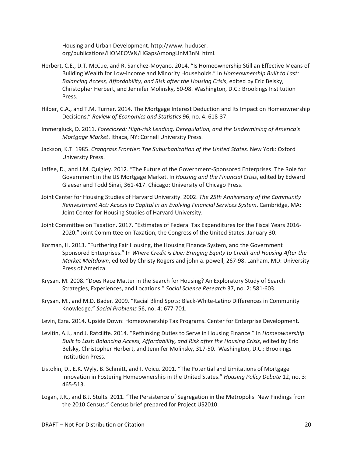Housing and Urban Development. http://www. huduser. org/publications/HOMEOWN/HGapsAmongLInMBnN. html.

- Herbert, C.E., D.T. McCue, and R. Sanchez-Moyano. 2014. "Is Homeownership Still an Effective Means of Building Wealth for Low-income and Minority Households." In *Homeownership Built to Last: Balancing Access, Affordability, and Risk after the Housing Crisis*, edited by Eric Belsky, Christopher Herbert, and Jennifer Molinsky, 50-98. Washington, D.C.: Brookings Institution Press.
- Hilber, C.A., and T.M. Turner. 2014. The Mortgage Interest Deduction and Its Impact on Homeownership Decisions." *Review of Economics and Statistics* 96, no. 4: 618-37.
- Immergluck, D. 2011. *Foreclosed: High-risk Lending, Deregulation, and the Undermining of America's Mortgage Market*. Ithaca, NY: Cornell University Press.
- Jackson, K.T. 1985. *Crabgrass Frontier: The Suburbanization of the United States*. New York: Oxford University Press.
- Jaffee, D., and J.M. Quigley. 2012. "The Future of the Government-Sponsored Enterprises: The Role for Government in the US Mortgage Market. In *Housing and the Financial Crisis*, edited by Edward Glaeser and Todd Sinai, 361-417. Chicago: University of Chicago Press.
- Joint Center for Housing Studies of Harvard University. 2002. *The 25th Anniversary of the Community Reinvestment Act: Access to Capital in an Evolving Financial Services System*. Cambridge, MA: Joint Center for Housing Studies of Harvard University.
- Joint Committee on Taxation. 2017. "Estimates of Federal Tax Expenditures for the Fiscal Years 2016- 2020." Joint Committee on Taxation, the Congress of the United States. January 30.
- Korman, H. 2013. "Furthering Fair Housing, the Housing Finance System, and the Government Sponsored Enterprises." In *Where Credit is Due: Bringing Equity to Credit and Housing After the Market Meltdown*, edited by Christy Rogers and john a. powell, 267-98. Lanham, MD: University Press of America.
- Krysan, M. 2008. "Does Race Matter in the Search for Housing? An Exploratory Study of Search Strategies, Experiences, and Locations." *Social Science Research* 37, no. 2: 581-603.
- Krysan, M., and M.D. Bader. 2009. "Racial Blind Spots: Black-White-Latino Differences in Community Knowledge." *Social Problems* 56, no. 4: 677-701.
- Levin, Ezra. 2014. Upside Down: Homeownership Tax Programs. Center for Enterprise Development.
- Levitin, A.J., and J. Ratcliffe. 2014. "Rethinking Duties to Serve in Housing Finance." In *Homeownership Built to Last: Balancing Access, Affordability, and Risk after the Housing Crisis*, edited by Eric Belsky, Christopher Herbert, and Jennifer Molinsky, 317-50. Washington, D.C.: Brookings Institution Press.
- Listokin, D., E.K. Wyly, B. Schmitt, and I. Voicu. 2001. "The Potential and Limitations of Mortgage Innovation in Fostering Homeownership in the United States." *Housing Policy Debate* 12, no. 3: 465-513.
- Logan, J.R., and B.J. Stults. 2011. "The Persistence of Segregation in the Metropolis: New Findings from the 2010 Census." Census brief prepared for Project US2010.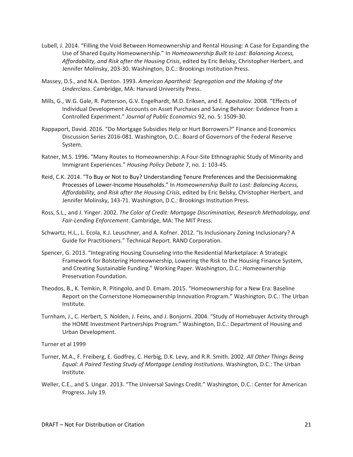- Lubell, J. 2014. "Filling the Void Between Homeownership and Rental Housing: A Case for Expanding the Use of Shared Equity Homeownership." In *Homeownership Built to Last: Balancing Access, Affordability, and Risk after the Housing Crisis*, edited by Eric Belsky, Christopher Herbert, and Jennifer Molinsky, 203-30. Washington, D.C.: Brookings Institution Press.
- Massey, D.S., and N.A. Denton. 1993. *American Apartheid: Segregation and the Making of the Underclass*. Cambridge, MA: Harvard University Press.
- Mills, G., W.G. Gale, R. Patterson, G.V. Engelhardt, M.D. Eriksen, and E. Apostolov. 2008. "Effects of Individual Development Accounts on Asset Purchases and Saving Behavior: Evidence from a Controlled Experiment." *Journal of Public Economics* 92, no. 5: 1509-30.
- Rappaport, David. 2016. "Do Mortgage Subsidies Help or Hurt Borrowers?" Finance and Economics Discussion Series 2016-081. Washington, D.C.: Board of Governors of the Federal Reserve System.
- Ratner, M.S. 1996. "Many Routes to Homeownership: A Four-Site Ethnographic Study of Minority and Immigrant Experiences." *Housing Policy Debate* 7, no. 1: 103-45.
- Reid, C.K. 2014. "To Buy or Not to Buy? Understanding Tenure Preferences and the Decisionmaking Processes of Lower-Income Households." In *Homeownership Built to Last: Balancing Access, Affordability, and Risk after the Housing Crisis*, edited by Eric Belsky, Christopher Herbert, and Jennifer Molinsky, 143-71. Washington, D.C.: Brookings Institution Press.
- Ross, S.L., and J. Yinger. 2002. *The Color of Credit: Mortgage Discrimination, Research Methodology, and Fair-Lending Enforcement*. Cambridge, MA: The MIT Press.
- Schwartz, H.L., L. Ecola, K.J. Leuschner, and A. Kofner. 2012. "Is Inclusionary Zoning Inclusionary? A Guide for Practitioners." Technical Report. RAND Corporation.
- Spencer, G. 2013. "Integrating Housing Counseling into the Residential Marketplace: A Strategic Framework for Bolstering Homeownership, Lowering the Risk to the Housing Finance System, and Creating Sustainable Funding." Working Paper. Washington, D.C.: Homeownership Preservation Foundation.
- Theodos, B., K. Temkin, R. Pitingolo, and D. Emam. 2015. "Homeownership for a New Era: Baseline Report on the Cornerstone Homeownership Innovation Program." Washington, D.C.: The Urban Institute.
- Turnham, J., C. Herbert, S. Nolden, J. Feins, and J. Bonjorni. 2004. "Study of Homebuyer Activity through the HOME Investment Partnerships Program." Washington, D.C.: Department of Housing and Urban Development.

Turner et al 1999

- Turner, M.A., F. Freiberg, E. Godfrey, C. Herbig, D.K. Levy, and R.R. Smith. 2002. *All Other Things Being Equal: A Paired Testing Study of Mortgage Lending Institutions*. Washington, D.C.: The Urban Institute.
- Weller, C.E., and S. Ungar. 2013. "The Universal Savings Credit." Washington, D.C.: Center for American Progress. July 19.